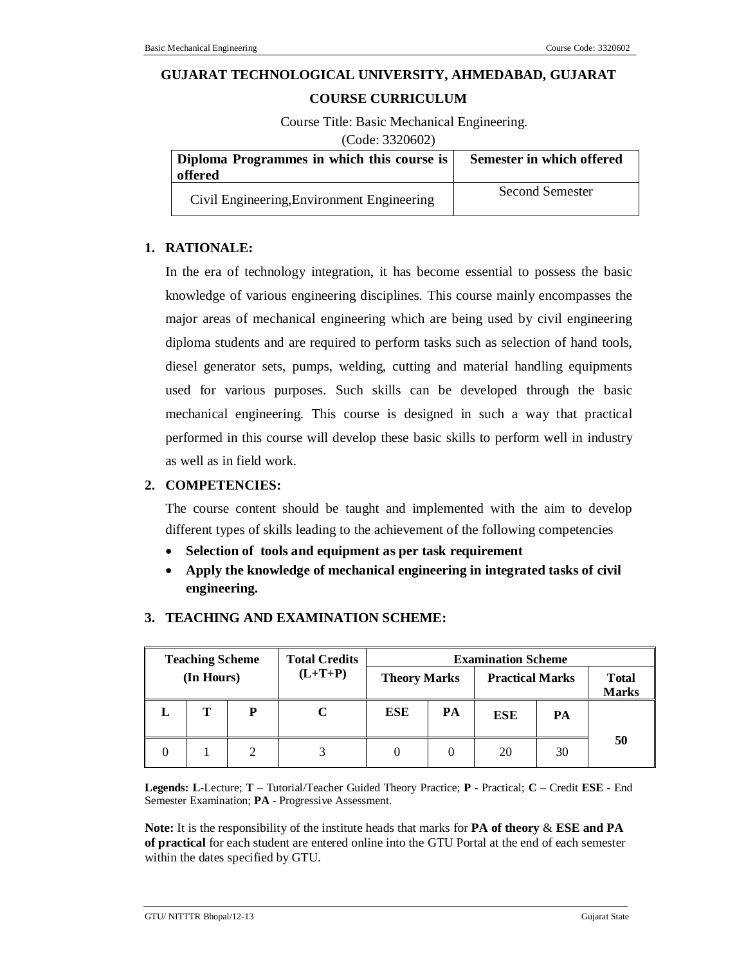# **GUJARAT TECHNOLOGICAL UNIVERSITY, AHMEDABAD, GUJARAT**

#### **COURSE CURRICULUM**

Course Title: Basic Mechanical Engineering.

(Code: 3320602)

| Diploma Programmes in which this course is<br>offered | Semester in which offered |
|-------------------------------------------------------|---------------------------|
| Civil Engineering, Environment Engineering            | <b>Second Semester</b>    |

# **1. RATIONALE:**

In the era of technology integration, it has become essential to possess the basic knowledge of various engineering disciplines. This course mainly encompasses the major areas of mechanical engineering which are being used by civil engineering diploma students and are required to perform tasks such as selection of hand tools, diesel generator sets, pumps, welding, cutting and material handling equipments used for various purposes. Such skills can be developed through the basic mechanical engineering. This course is designed in such a way that practical performed in this course will develop these basic skills to perform well in industry as well as in field work.

# **2. COMPETENCIES:**

The course content should be taught and implemented with the aim to develop different types of skills leading to the achievement of the following competencies

- **Selection of tools and equipment as per task requirement**
- **Apply the knowledge of mechanical engineering in integrated tasks of civil engineering.**

| <b>Teaching Scheme</b><br>(In Hours) |   | <b>Total Credits</b><br>$(L+T+P)$ | <b>Theory Marks</b> |            | <b>Examination Scheme</b><br><b>Practical Marks</b> |            | <b>T</b> otal<br><b>Marks</b> |    |
|--------------------------------------|---|-----------------------------------|---------------------|------------|-----------------------------------------------------|------------|-------------------------------|----|
|                                      | т | P                                 |                     | <b>ESE</b> | PA                                                  | <b>ESE</b> | PА                            |    |
|                                      |   |                                   |                     |            |                                                     | 20         | 30                            | 50 |

# **3. TEACHING AND EXAMINATION SCHEME:**

**Legends: L**-Lecture; **T** – Tutorial/Teacher Guided Theory Practice; **P** - Practical; **C** – Credit **ESE** - End Semester Examination; **PA** - Progressive Assessment.

**Note:** It is the responsibility of the institute heads that marks for **PA of theory** & **ESE and PA of practical** for each student are entered online into the GTU Portal at the end of each semester within the dates specified by GTU.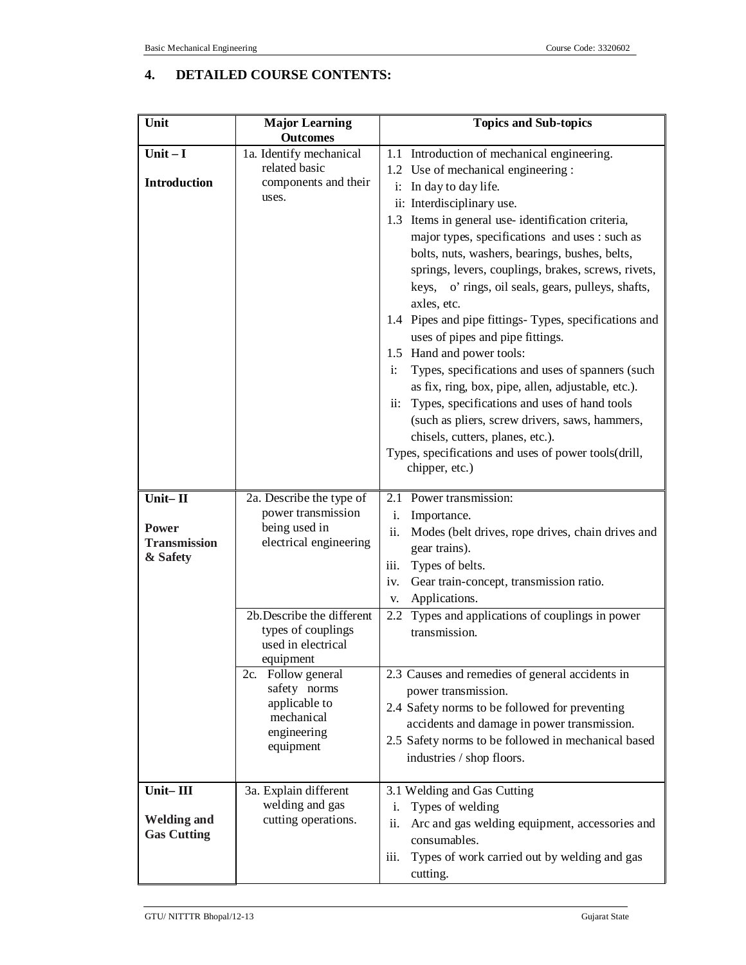# **4. DETAILED COURSE CONTENTS:**

| Unit                                                     | <b>Major Learning</b>                                                                         | <b>Topics and Sub-topics</b>                                                                                                                                                                                                                                                                                                                                                                                                                                                                                                                                                                                                                                                                                                                                      |  |  |
|----------------------------------------------------------|-----------------------------------------------------------------------------------------------|-------------------------------------------------------------------------------------------------------------------------------------------------------------------------------------------------------------------------------------------------------------------------------------------------------------------------------------------------------------------------------------------------------------------------------------------------------------------------------------------------------------------------------------------------------------------------------------------------------------------------------------------------------------------------------------------------------------------------------------------------------------------|--|--|
|                                                          | <b>Outcomes</b>                                                                               |                                                                                                                                                                                                                                                                                                                                                                                                                                                                                                                                                                                                                                                                                                                                                                   |  |  |
| Unit $-I$<br><b>Introduction</b>                         | 1a. Identify mechanical<br>related basic<br>components and their<br>uses.                     | 1.1 Introduction of mechanical engineering.<br>1.2 Use of mechanical engineering :<br>i: In day to day life.<br>ii: Interdisciplinary use.                                                                                                                                                                                                                                                                                                                                                                                                                                                                                                                                                                                                                        |  |  |
|                                                          |                                                                                               | 1.3 Items in general use-identification criteria,<br>major types, specifications and uses : such as<br>bolts, nuts, washers, bearings, bushes, belts,<br>springs, levers, couplings, brakes, screws, rivets,<br>keys, o' rings, oil seals, gears, pulleys, shafts,<br>axles, etc.<br>1.4 Pipes and pipe fittings-Types, specifications and<br>uses of pipes and pipe fittings.<br>1.5 Hand and power tools:<br>Types, specifications and uses of spanners (such<br>$\mathbf{i}$ :<br>as fix, ring, box, pipe, allen, adjustable, etc.).<br>Types, specifications and uses of hand tools<br>$ii$ :<br>(such as pliers, screw drivers, saws, hammers,<br>chisels, cutters, planes, etc.).<br>Types, specifications and uses of power tools(drill,<br>chipper, etc.) |  |  |
| Unit-II<br>Power<br><b>Transmission</b><br>& Safety      | 2a. Describe the type of<br>power transmission<br>being used in<br>electrical engineering     | 2.1 Power transmission:<br>Importance.<br>i.<br>ii.<br>Modes (belt drives, rope drives, chain drives and<br>gear trains).<br>Types of belts.<br>iii.<br>Gear train-concept, transmission ratio.<br>iv.<br>Applications.<br>V.                                                                                                                                                                                                                                                                                                                                                                                                                                                                                                                                     |  |  |
|                                                          | 2b.Describe the different<br>types of couplings<br>used in electrical<br>equipment            | Types and applications of couplings in power<br>2.2<br>transmission.                                                                                                                                                                                                                                                                                                                                                                                                                                                                                                                                                                                                                                                                                              |  |  |
|                                                          | 2c. Follow general<br>safety norms<br>applicable to<br>mechanical<br>engineering<br>equipment | 2.3 Causes and remedies of general accidents in<br>power transmission.<br>2.4 Safety norms to be followed for preventing<br>accidents and damage in power transmission.<br>2.5 Safety norms to be followed in mechanical based<br>industries / shop floors.                                                                                                                                                                                                                                                                                                                                                                                                                                                                                                       |  |  |
| Unit $-$ III<br><b>Welding and</b><br><b>Gas Cutting</b> | 3a. Explain different<br>welding and gas<br>cutting operations.                               | 3.1 Welding and Gas Cutting<br>Types of welding<br>i.<br>ii.<br>Arc and gas welding equipment, accessories and<br>consumables.<br>Types of work carried out by welding and gas<br>iii.<br>cutting.                                                                                                                                                                                                                                                                                                                                                                                                                                                                                                                                                                |  |  |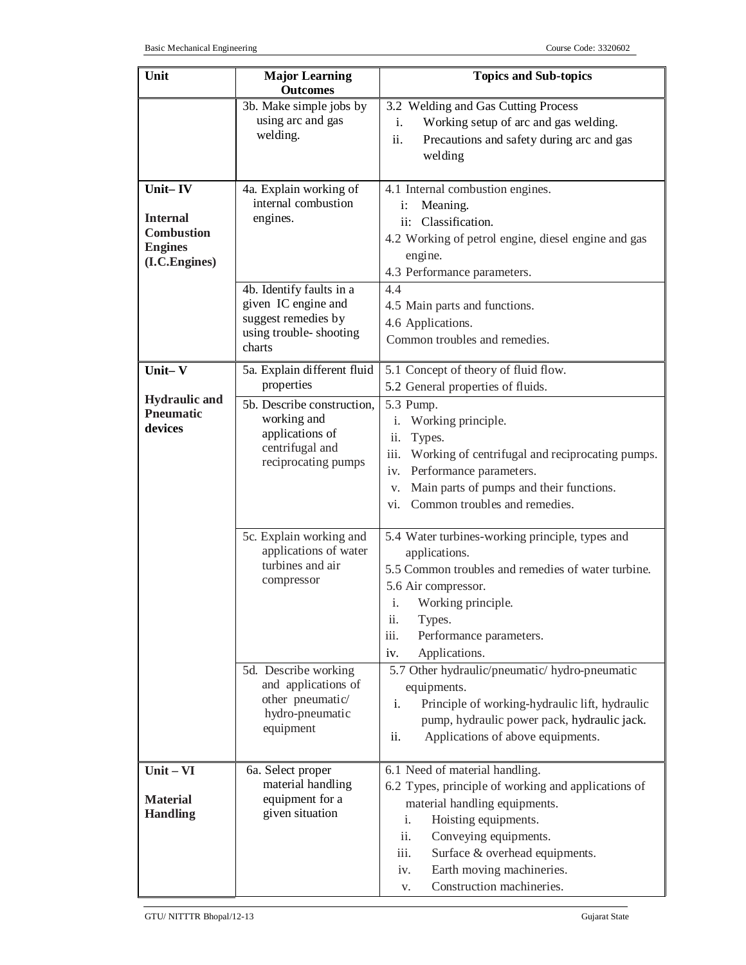| Unit                                                                               | <b>Major Learning</b>                                                                                      | <b>Topics and Sub-topics</b>                                                                                                                                                                                                                                                                          |
|------------------------------------------------------------------------------------|------------------------------------------------------------------------------------------------------------|-------------------------------------------------------------------------------------------------------------------------------------------------------------------------------------------------------------------------------------------------------------------------------------------------------|
|                                                                                    | <b>Outcomes</b>                                                                                            |                                                                                                                                                                                                                                                                                                       |
|                                                                                    | 3b. Make simple jobs by<br>using arc and gas<br>welding.                                                   | 3.2 Welding and Gas Cutting Process<br>Working setup of arc and gas welding.<br>i.<br>ii.<br>Precautions and safety during arc and gas<br>welding                                                                                                                                                     |
| Unit-IV<br><b>Internal</b><br><b>Combustion</b><br><b>Engines</b><br>(I.C.Engines) | 4a. Explain working of<br>internal combustion<br>engines.                                                  | 4.1 Internal combustion engines.<br>Meaning.<br>$\mathbf{i}$ :<br>ii: Classification.<br>4.2 Working of petrol engine, diesel engine and gas<br>engine.<br>4.3 Performance parameters.                                                                                                                |
|                                                                                    | 4b. Identify faults in a<br>given IC engine and<br>suggest remedies by<br>using trouble-shooting<br>charts | 4.4<br>4.5 Main parts and functions.<br>4.6 Applications.<br>Common troubles and remedies.                                                                                                                                                                                                            |
| Unit-V                                                                             | 5a. Explain different fluid<br>properties                                                                  | 5.1 Concept of theory of fluid flow.                                                                                                                                                                                                                                                                  |
| <b>Hydraulic</b> and<br><b>Pneumatic</b><br>devices                                | 5b. Describe construction,<br>working and<br>applications of<br>centrifugal and<br>reciprocating pumps     | 5.2 General properties of fluids.<br>5.3 Pump.<br>Working principle.<br>i.<br>ii.<br>Types.<br>iii.<br>Working of centrifugal and reciprocating pumps.<br>Performance parameters.<br>iv.<br>Main parts of pumps and their functions.<br>V.<br>Common troubles and remedies.<br>vi.                    |
|                                                                                    | 5c. Explain working and<br>applications of water<br>turbines and air<br>compressor                         | 5.4 Water turbines-working principle, types and<br>applications.<br>5.5 Common troubles and remedies of water turbine.<br>5.6 Air compressor.<br>Working principle.<br>1.<br>ii.<br>Types.<br>iii.<br>Performance parameters.<br>Applications.<br>iv.                                                 |
|                                                                                    | 5d. Describe working<br>and applications of<br>other pneumatic/<br>hydro-pneumatic<br>equipment            | 5.7 Other hydraulic/pneumatic/ hydro-pneumatic<br>equipments.<br>Principle of working-hydraulic lift, hydraulic<br>i.<br>pump, hydraulic power pack, hydraulic jack.<br>Applications of above equipments.<br>ii.                                                                                      |
| $Unit - VI$<br><b>Material</b><br><b>Handling</b>                                  | 6a. Select proper<br>material handling<br>equipment for a<br>given situation                               | 6.1 Need of material handling.<br>6.2 Types, principle of working and applications of<br>material handling equipments.<br>Hoisting equipments.<br>i.<br>ii.<br>Conveying equipments.<br>iii.<br>Surface & overhead equipments.<br>Earth moving machineries.<br>iv.<br>Construction machineries.<br>V. |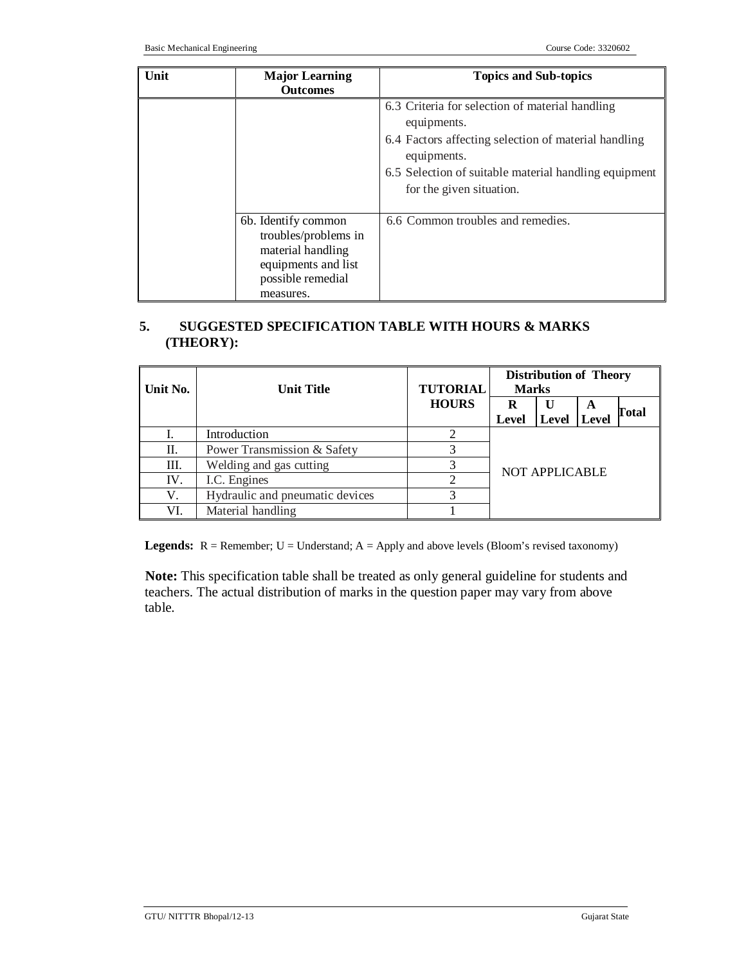| Unit | <b>Major Learning</b><br><b>Outcomes</b>                                                                                  | <b>Topics and Sub-topics</b>                                                                                                                                                                                               |
|------|---------------------------------------------------------------------------------------------------------------------------|----------------------------------------------------------------------------------------------------------------------------------------------------------------------------------------------------------------------------|
|      |                                                                                                                           | 6.3 Criteria for selection of material handling<br>equipments.<br>6.4 Factors affecting selection of material handling<br>equipments.<br>6.5 Selection of suitable material handling equipment<br>for the given situation. |
|      | 6b. Identify common<br>troubles/problems in<br>material handling<br>equipments and list<br>possible remedial<br>measures. | 6.6 Common troubles and remedies.                                                                                                                                                                                          |

# **5. SUGGESTED SPECIFICATION TABLE WITH HOURS & MARKS (THEORY):**

| Unit No. | <b>Unit Title</b>               | <b>TUTORIAL</b> | <b>Distribution of Theory</b><br><b>Marks</b> |               |   |              |
|----------|---------------------------------|-----------------|-----------------------------------------------|---------------|---|--------------|
|          |                                 | <b>HOURS</b>    | R<br>Level                                    | Level   Level | A | <b>Total</b> |
|          | Introduction                    |                 |                                               |               |   |              |
| П.       | Power Transmission & Safety     |                 |                                               |               |   |              |
| Ш.       | Welding and gas cutting         |                 | NOT APPLICABLE                                |               |   |              |
| IV.      | I.C. Engines                    |                 |                                               |               |   |              |
| V.       | Hydraulic and pneumatic devices | 3               |                                               |               |   |              |
| VI.      | Material handling               |                 |                                               |               |   |              |

**Legends:** R = Remember; U = Understand; A = Apply and above levels (Bloom's revised taxonomy)

**Note:** This specification table shall be treated as only general guideline for students and teachers. The actual distribution of marks in the question paper may vary from above table.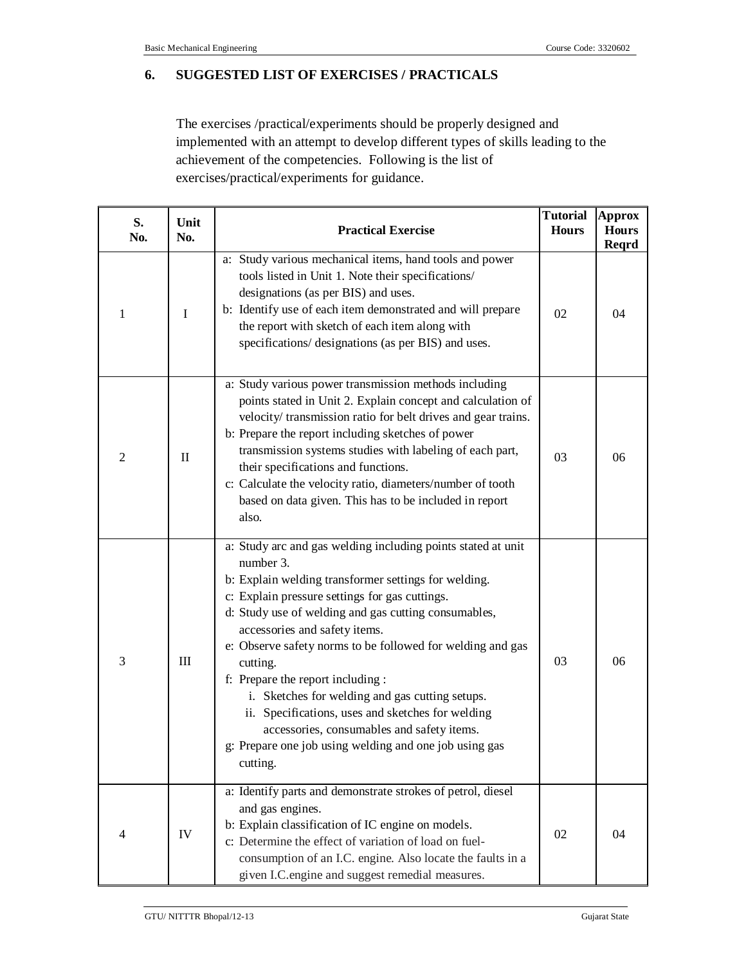## **6. SUGGESTED LIST OF EXERCISES / PRACTICALS**

The exercises /practical/experiments should be properly designed and implemented with an attempt to develop different types of skills leading to the achievement of the competencies. Following is the list of exercises/practical/experiments for guidance.

| S.<br>No.      | Unit<br>No. | <b>Tutorial</b><br><b>Practical Exercise</b>                                                                                                                                                                                                                                                                                                                                                                                                                                                                                                                                                                            |    | <b>Approx</b><br><b>Hours</b><br><b>Reqrd</b> |
|----------------|-------------|-------------------------------------------------------------------------------------------------------------------------------------------------------------------------------------------------------------------------------------------------------------------------------------------------------------------------------------------------------------------------------------------------------------------------------------------------------------------------------------------------------------------------------------------------------------------------------------------------------------------------|----|-----------------------------------------------|
| 1              | I           | a: Study various mechanical items, hand tools and power<br>tools listed in Unit 1. Note their specifications/<br>designations (as per BIS) and uses.<br>b: Identify use of each item demonstrated and will prepare<br>the report with sketch of each item along with<br>specifications/ designations (as per BIS) and uses.                                                                                                                                                                                                                                                                                             | 02 | 04                                            |
| $\mathfrak{2}$ | $\rm II$    | a: Study various power transmission methods including<br>points stated in Unit 2. Explain concept and calculation of<br>velocity/ transmission ratio for belt drives and gear trains.<br>b: Prepare the report including sketches of power<br>transmission systems studies with labeling of each part,<br>their specifications and functions.<br>c: Calculate the velocity ratio, diameters/number of tooth<br>based on data given. This has to be included in report<br>also.                                                                                                                                          | 03 | 06                                            |
| 3              | Ш           | a: Study arc and gas welding including points stated at unit<br>number 3.<br>b: Explain welding transformer settings for welding.<br>c: Explain pressure settings for gas cuttings.<br>d: Study use of welding and gas cutting consumables,<br>accessories and safety items.<br>e: Observe safety norms to be followed for welding and gas<br>cutting.<br>f: Prepare the report including :<br>i. Sketches for welding and gas cutting setups.<br>ii. Specifications, uses and sketches for welding<br>accessories, consumables and safety items.<br>g: Prepare one job using welding and one job using gas<br>cutting. | 03 | 06                                            |
| $\overline{4}$ | IV          | a: Identify parts and demonstrate strokes of petrol, diesel<br>and gas engines.<br>b: Explain classification of IC engine on models.<br>c: Determine the effect of variation of load on fuel-<br>consumption of an I.C. engine. Also locate the faults in a<br>given I.C. engine and suggest remedial measures.                                                                                                                                                                                                                                                                                                         | 02 | 04                                            |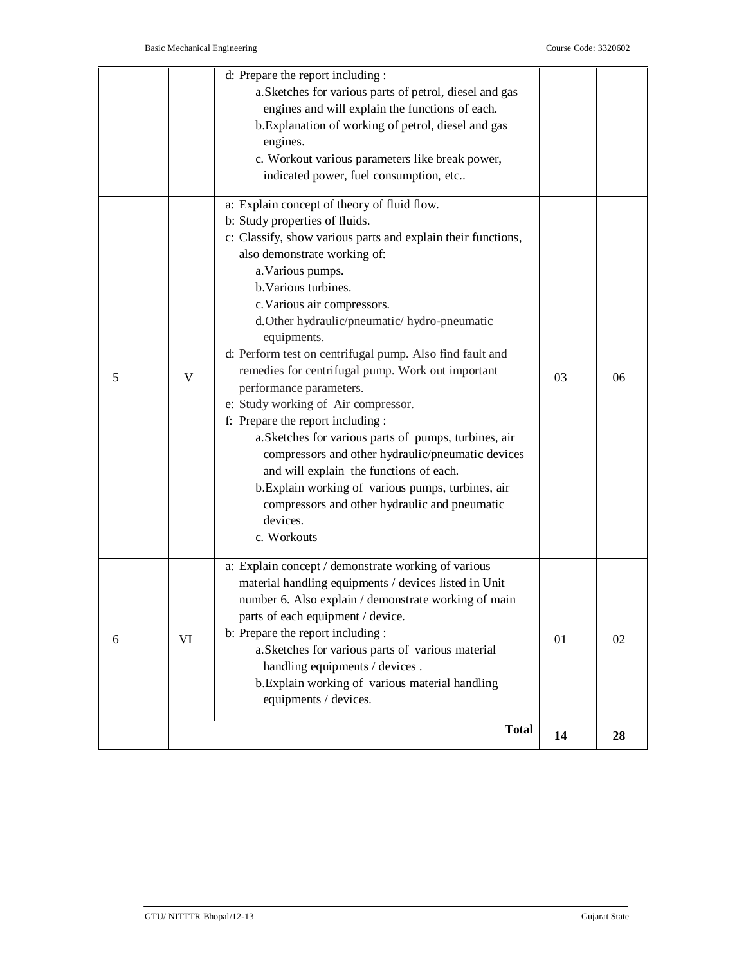| 6 | VI | material handling equipments / devices listed in Unit<br>number 6. Also explain / demonstrate working of main<br>parts of each equipment / device.<br>b: Prepare the report including :                                                                                                                                                                                                                                                             | 01 | 02 |
|---|----|-----------------------------------------------------------------------------------------------------------------------------------------------------------------------------------------------------------------------------------------------------------------------------------------------------------------------------------------------------------------------------------------------------------------------------------------------------|----|----|
| 5 | V  | remedies for centrifugal pump. Work out important<br>performance parameters.<br>e: Study working of Air compressor.<br>f: Prepare the report including :<br>a. Sketches for various parts of pumps, turbines, air<br>compressors and other hydraulic/pneumatic devices<br>and will explain the functions of each.<br>b. Explain working of various pumps, turbines, air<br>compressors and other hydraulic and pneumatic<br>devices.<br>c. Workouts | 03 | 06 |
|   |    | a: Explain concept of theory of fluid flow.<br>b: Study properties of fluids.<br>c: Classify, show various parts and explain their functions,<br>also demonstrate working of:<br>a. Various pumps.<br>b. Various turbines.<br>c. Various air compressors.<br>d.Other hydraulic/pneumatic/ hydro-pneumatic<br>equipments.<br>d: Perform test on centrifugal pump. Also find fault and                                                                |    |    |
|   |    | b. Explanation of working of petrol, diesel and gas<br>engines.<br>c. Workout various parameters like break power,<br>indicated power, fuel consumption, etc                                                                                                                                                                                                                                                                                        |    |    |
|   |    | d: Prepare the report including :<br>a. Sketches for various parts of petrol, diesel and gas<br>engines and will explain the functions of each.                                                                                                                                                                                                                                                                                                     |    |    |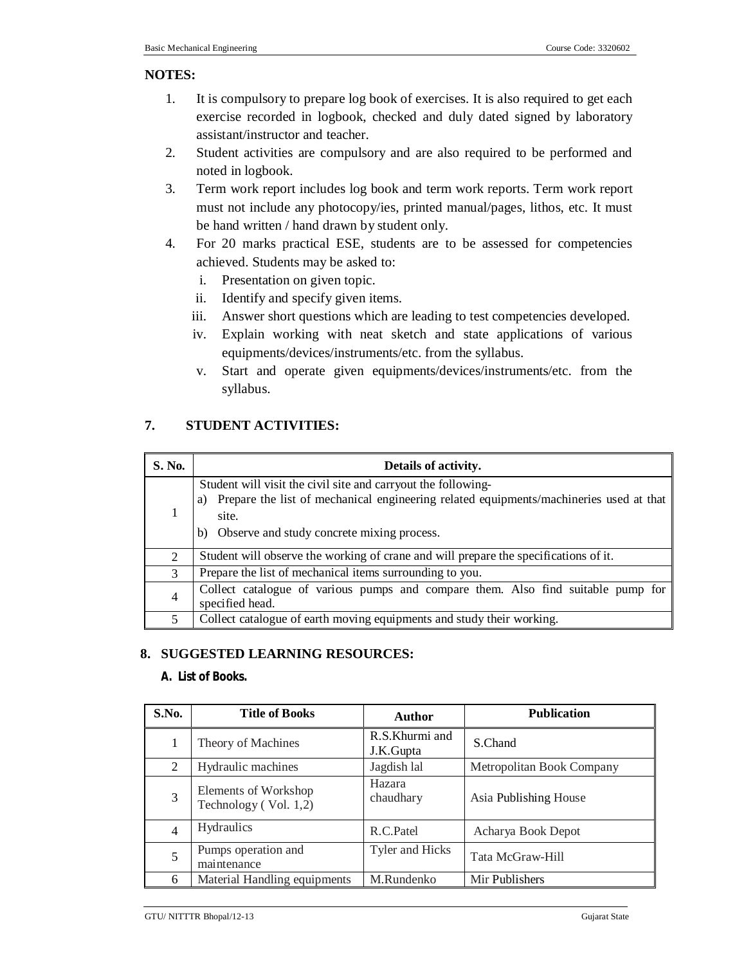#### **NOTES:**

- 1. It is compulsory to prepare log book of exercises. It is also required to get each exercise recorded in logbook, checked and duly dated signed by laboratory assistant/instructor and teacher.
- 2. Student activities are compulsory and are also required to be performed and noted in logbook.
- 3. Term work report includes log book and term work reports. Term work report must not include any photocopy/ies, printed manual/pages, lithos, etc. It must be hand written / hand drawn by student only.
- 4. For 20 marks practical ESE, students are to be assessed for competencies achieved. Students may be asked to:
	- i. Presentation on given topic.
	- ii. Identify and specify given items.
	- iii. Answer short questions which are leading to test competencies developed.
	- iv. Explain working with neat sketch and state applications of various equipments/devices/instruments/etc. from the syllabus.
	- v. Start and operate given equipments/devices/instruments/etc. from the syllabus.

# **7. STUDENT ACTIVITIES:**

| S. No.         | Details of activity.                                                                                                                                                                                                       |  |  |  |  |
|----------------|----------------------------------------------------------------------------------------------------------------------------------------------------------------------------------------------------------------------------|--|--|--|--|
| 1              | Student will visit the civil site and carryout the following-<br>Prepare the list of mechanical engineering related equipments/machineries used at that<br>a)<br>site.<br>Observe and study concrete mixing process.<br>b) |  |  |  |  |
| $\overline{2}$ | Student will observe the working of crane and will prepare the specifications of it.                                                                                                                                       |  |  |  |  |
| 3              | Prepare the list of mechanical items surrounding to you.                                                                                                                                                                   |  |  |  |  |
| $\overline{4}$ | Collect catalogue of various pumps and compare them. Also find suitable pump for<br>specified head.                                                                                                                        |  |  |  |  |
| 5              | Collect catalogue of earth moving equipments and study their working.                                                                                                                                                      |  |  |  |  |

# **8. SUGGESTED LEARNING RESOURCES:**

#### **A. List of Books.**

| S.No.          | <b>Title of Books</b>                         | Author                      | <b>Publication</b>        |
|----------------|-----------------------------------------------|-----------------------------|---------------------------|
| 1              | Theory of Machines                            | R.S.Khurmi and<br>J.K.Gupta | S.Chand                   |
| 2              | Hydraulic machines                            | Jagdish lal                 | Metropolitan Book Company |
| 3              | Elements of Workshop<br>Technology (Vol. 1,2) | Hazara<br>chaudhary         | Asia Publishing House     |
| $\overline{4}$ | <b>Hydraulics</b>                             | R.C.Patel                   | Acharya Book Depot        |
| 5              | Pumps operation and<br>maintenance            | Tyler and Hicks             | Tata McGraw-Hill          |
| 6              | Material Handling equipments                  | M.Rundenko                  | Mir Publishers            |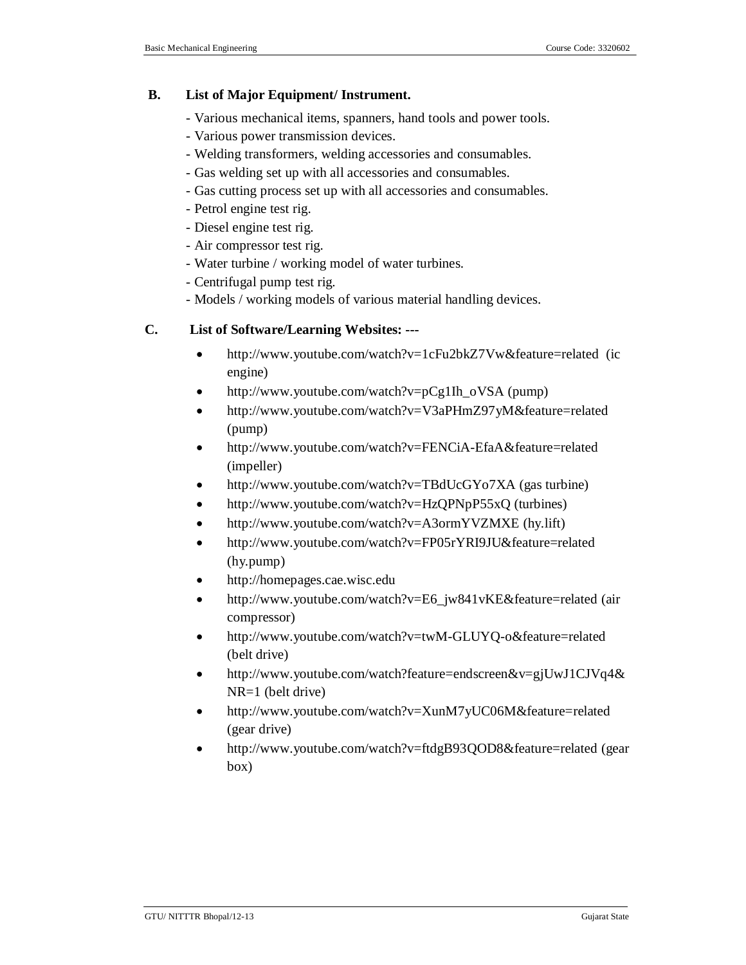## **B. List of Major Equipment/ Instrument.**

- Various mechanical items, spanners, hand tools and power tools.
- Various power transmission devices.
- Welding transformers, welding accessories and consumables.
- Gas welding set up with all accessories and consumables.
- Gas cutting process set up with all accessories and consumables.
- Petrol engine test rig.
- Diesel engine test rig.
- Air compressor test rig.
- Water turbine / working model of water turbines.
- Centrifugal pump test rig.
- Models / working models of various material handling devices.

## **C. List of Software/Learning Websites: ---**

- http://www.youtube.com/watch?v=1cFu2bkZ7Vw&feature=related (ic engine)
- http://www.youtube.com/watch?v=pCg1Ih\_oVSA (pump)
- http://www.youtube.com/watch?v=V3aPHmZ97yM&feature=related (pump)
- http://www.youtube.com/watch?v=FENCiA-EfaA&feature=related (impeller)
- http://www.youtube.com/watch?v=TBdUcGYo7XA (gas turbine)
- http://www.youtube.com/watch?v=HzQPNpP55xQ (turbines)
- http://www.youtube.com/watch?v=A3ormYVZMXE (hy.lift)
- http://www.youtube.com/watch?v=FP05rYRI9JU&feature=related (hy.pump)
- http://homepages.cae.wisc.edu
- http://www.youtube.com/watch?v=E6\_jw841vKE&feature=related (air compressor)
- http://www.youtube.com/watch?v=twM-GLUYQ-o&feature=related (belt drive)
- http://www.youtube.com/watch?feature=endscreen&v=gjUwJ1CJVq4& NR=1 (belt drive)
- http://www.youtube.com/watch?v=XunM7yUC06M&feature=related (gear drive)
- http://www.youtube.com/watch?v=ftdgB93QOD8&feature=related (gear box)